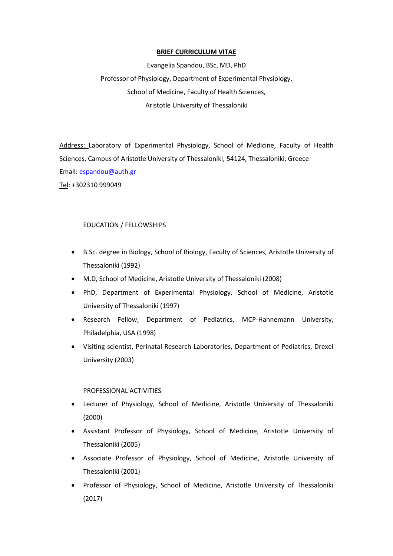#### **BRIEF CURRICULUM VITAE**

Evangelia Spandou, BSc, MD, PhD Professor of Physiology, Department of Experimental Physiology, School of Medicine, Faculty of Health Sciences, Aristotle University of Thessaloniki

Address: Laboratory of Experimental Physiology, School of Medicine, Faculty of Health Sciences, Campus of Aristotle University of Thessaloniki, 54124, Thessaloniki, Greece Email: [espandou@auth.gr](mailto:espandou@auth.gr)

Tel: +302310 999049

### EDUCATION / FELLOWSHIPS

- B.Sc. degree in Biology, School of Biology, Faculty of Sciences, Aristotle University of Thessaloniki (1992)
- M.D, School of Medicine, Aristotle University of Thessaloniki (2008)
- PhD, Department of Experimental Physiology, School of Medicine, Aristotle University of Thessaloniki (1997)
- Research Fellow, Department of Pediatrics, MCP-Hahnemann University, Philadelphia, USA (1998)
- Visiting scientist, Perinatal Research Laboratories, Department of Pediatrics, Drexel University (2003)

### PROFESSIONAL ACTIVITIES

- Lecturer of Physiology, School of Medicine, Aristotle University of Thessaloniki (2000)
- Assistant Professor of Physiology, School of Medicine, Aristotle University of Thessaloniki (2005)
- Associate Professor of Physiology, School of Medicine, Aristotle University of Thessaloniki (2001)
- Professor of Physiology, School of Medicine, Aristotle University of Thessaloniki (2017)